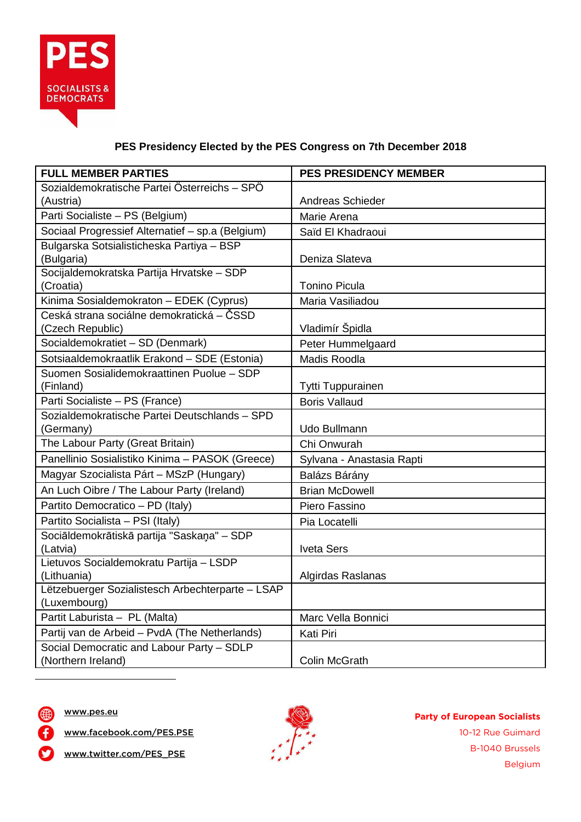

## **PES Presidency Elected by the PES Congress on 7th December 2018**

| <b>FULL MEMBER PARTIES</b>                       | <b>PES PRESIDENCY MEMBER</b> |
|--------------------------------------------------|------------------------------|
| Sozialdemokratische Partei Österreichs - SPÖ     |                              |
| (Austria)                                        | Andreas Schieder             |
| Parti Socialiste - PS (Belgium)                  | Marie Arena                  |
| Sociaal Progressief Alternatief - sp.a (Belgium) | Saïd El Khadraoui            |
| Bulgarska Sotsialisticheska Partiya - BSP        |                              |
| (Bulgaria)                                       | Deniza Slateva               |
| Socijaldemokratska Partija Hrvatske - SDP        |                              |
| (Croatia)                                        | <b>Tonino Picula</b>         |
| Kinima Sosialdemokraton - EDEK (Cyprus)          | Maria Vasiliadou             |
| Ceská strana sociálne demokratická – ČSSD        |                              |
| (Czech Republic)                                 | Vladimír Špidla              |
| Socialdemokratiet - SD (Denmark)                 | Peter Hummelgaard            |
| Sotsiaaldemokraatlik Erakond - SDE (Estonia)     | Madis Roodla                 |
| Suomen Sosialidemokraattinen Puolue - SDP        |                              |
| (Finland)                                        | <b>Tytti Tuppurainen</b>     |
| Parti Socialiste - PS (France)                   | <b>Boris Vallaud</b>         |
| Sozialdemokratische Partei Deutschlands - SPD    |                              |
| (Germany)                                        | Udo Bullmann                 |
| The Labour Party (Great Britain)                 | Chi Onwurah                  |
| Panellinio Sosialistiko Kinima - PASOK (Greece)  | Sylvana - Anastasia Rapti    |
| Magyar Szocialista Párt – MSzP (Hungary)         | Balázs Bárány                |
| An Luch Oibre / The Labour Party (Ireland)       | <b>Brian McDowell</b>        |
| Partito Democratico - PD (Italy)                 | Piero Fassino                |
| Partito Socialista - PSI (Italy)                 | Pia Locatelli                |
| Sociāldemokrātiskā partija "Saskaņa" - SDP       |                              |
| (Latvia)                                         | <b>Iveta Sers</b>            |
| Lietuvos Socialdemokratu Partija - LSDP          |                              |
| (Lithuania)                                      | Algirdas Raslanas            |
| Lëtzebuerger Sozialistesch Arbechterparte - LSAP |                              |
| (Luxembourg)                                     |                              |
| Partit Laburista - PL (Malta)                    | Marc Vella Bonnici           |
| Partij van de Arbeid - PvdA (The Netherlands)    | Kati Piri                    |
| Social Democratic and Labour Party - SDLP        |                              |
| (Northern Ireland)                               | <b>Colin McGrath</b>         |



 $\overline{a}$ 

www.facebook.com/PES.PSE



**Party of European Socialists** 10-12 Rue Guimard B-1040 Brussels Belgium

www.twitter.com/PES\_PSE